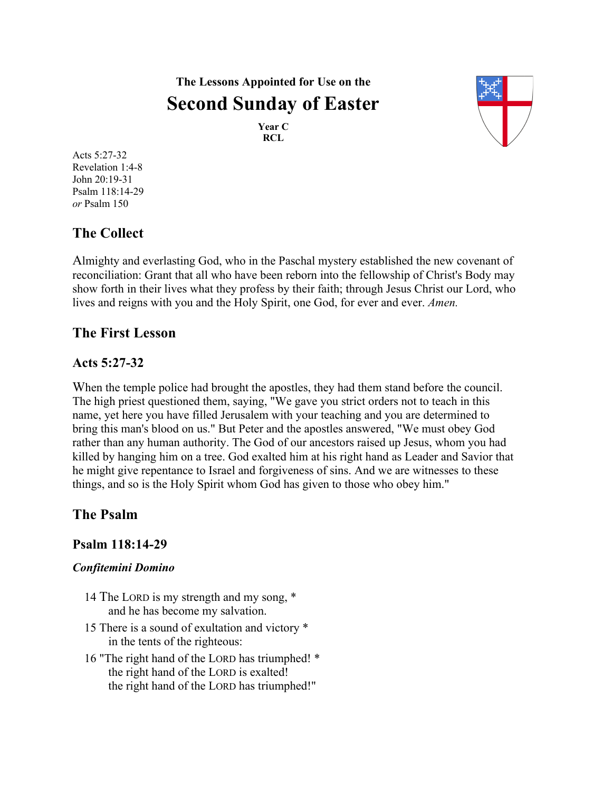# **The Lessons Appointed for Use on the Second Sunday of Easter**

**Year C RCL**



Acts 5:27-32 Revelation 1:4-8 John 20:19-31 Psalm 118:14-29 *or* Psalm 150

# **The Collect**

Almighty and everlasting God, who in the Paschal mystery established the new covenant of reconciliation: Grant that all who have been reborn into the fellowship of Christ's Body may show forth in their lives what they profess by their faith; through Jesus Christ our Lord, who lives and reigns with you and the Holy Spirit, one God, for ever and ever. *Amen.*

### **The First Lesson**

### **Acts 5:27-32**

When the temple police had brought the apostles, they had them stand before the council. The high priest questioned them, saying, "We gave you strict orders not to teach in this name, yet here you have filled Jerusalem with your teaching and you are determined to bring this man's blood on us." But Peter and the apostles answered, "We must obey God rather than any human authority. The God of our ancestors raised up Jesus, whom you had killed by hanging him on a tree. God exalted him at his right hand as Leader and Savior that he might give repentance to Israel and forgiveness of sins. And we are witnesses to these things, and so is the Holy Spirit whom God has given to those who obey him."

# **The Psalm**

### **Psalm 118:14-29**

### *Confitemini Domino*

- 14 The LORD is my strength and my song, \* and he has become my salvation.
- 15 There is a sound of exultation and victory \* in the tents of the righteous:
- 16 "The right hand of the LORD has triumphed! \* the right hand of the LORD is exalted! the right hand of the LORD has triumphed!"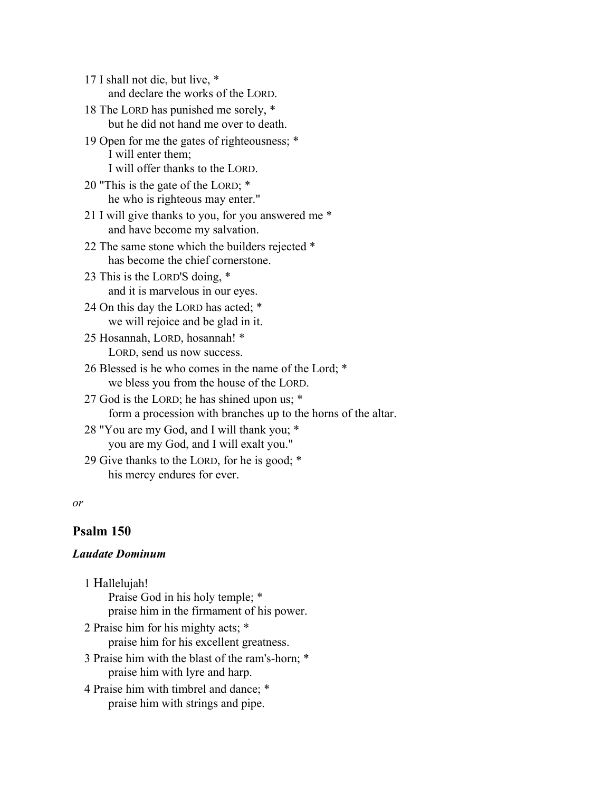17 I shall not die, but live, \* and declare the works of the LORD.

18 The LORD has punished me sorely, \* but he did not hand me over to death.

- 19 Open for me the gates of righteousness; \* I will enter them; I will offer thanks to the LORD.
- 20 "This is the gate of the LORD; \* he who is righteous may enter."

21 I will give thanks to you, for you answered me \* and have become my salvation.

22 The same stone which the builders rejected \* has become the chief cornerstone.

23 This is the LORD'S doing, \* and it is marvelous in our eyes.

24 On this day the LORD has acted; \* we will rejoice and be glad in it.

- 25 Hosannah, LORD, hosannah! \* LORD, send us now success.
- 26 Blessed is he who comes in the name of the Lord; \* we bless you from the house of the LORD.

27 God is the LORD; he has shined upon us; \* form a procession with branches up to the horns of the altar.

- 28 "You are my God, and I will thank you; \* you are my God, and I will exalt you."
- 29 Give thanks to the LORD, for he is good; \* his mercy endures for ever.

#### *or*

### **Psalm 150**

### *Laudate Dominum*

1 Hallelujah! Praise God in his holy temple; \* praise him in the firmament of his power.

- 2 Praise him for his mighty acts; \* praise him for his excellent greatness.
- 3 Praise him with the blast of the ram's-horn; \* praise him with lyre and harp.
- 4 Praise him with timbrel and dance; \* praise him with strings and pipe.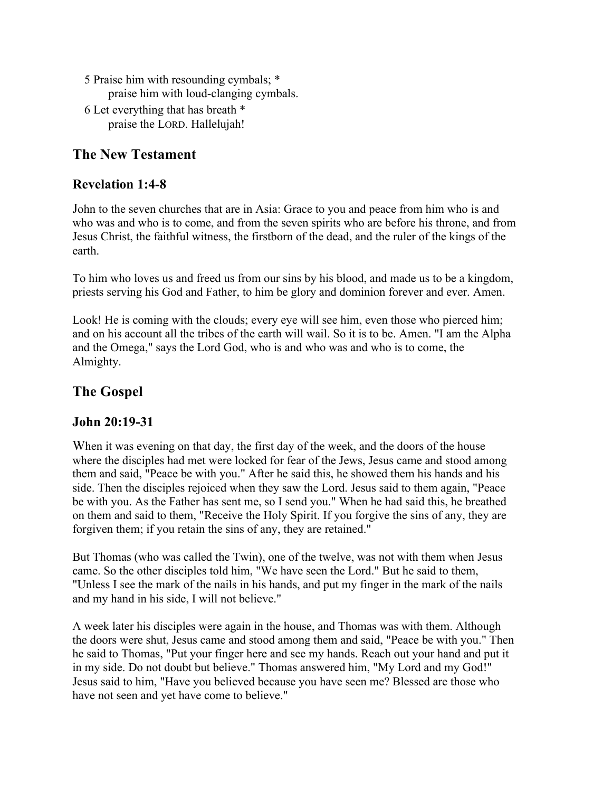- 5 Praise him with resounding cymbals; \* praise him with loud-clanging cymbals. 6 Let everything that has breath \*
- praise the LORD. Hallelujah!

### **The New Testament**

### **Revelation 1:4-8**

John to the seven churches that are in Asia: Grace to you and peace from him who is and who was and who is to come, and from the seven spirits who are before his throne, and from Jesus Christ, the faithful witness, the firstborn of the dead, and the ruler of the kings of the earth.

To him who loves us and freed us from our sins by his blood, and made us to be a kingdom, priests serving his God and Father, to him be glory and dominion forever and ever. Amen.

Look! He is coming with the clouds; every eye will see him, even those who pierced him; and on his account all the tribes of the earth will wail. So it is to be. Amen. "I am the Alpha and the Omega," says the Lord God, who is and who was and who is to come, the Almighty.

## **The Gospel**

### **John 20:19-31**

When it was evening on that day, the first day of the week, and the doors of the house where the disciples had met were locked for fear of the Jews, Jesus came and stood among them and said, "Peace be with you." After he said this, he showed them his hands and his side. Then the disciples rejoiced when they saw the Lord. Jesus said to them again, "Peace be with you. As the Father has sent me, so I send you." When he had said this, he breathed on them and said to them, "Receive the Holy Spirit. If you forgive the sins of any, they are forgiven them; if you retain the sins of any, they are retained."

But Thomas (who was called the Twin), one of the twelve, was not with them when Jesus came. So the other disciples told him, "We have seen the Lord." But he said to them, "Unless I see the mark of the nails in his hands, and put my finger in the mark of the nails and my hand in his side, I will not believe."

A week later his disciples were again in the house, and Thomas was with them. Although the doors were shut, Jesus came and stood among them and said, "Peace be with you." Then he said to Thomas, "Put your finger here and see my hands. Reach out your hand and put it in my side. Do not doubt but believe." Thomas answered him, "My Lord and my God!" Jesus said to him, "Have you believed because you have seen me? Blessed are those who have not seen and yet have come to believe."